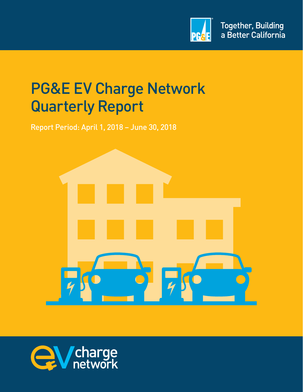

# PG&E EV Charge Network Quarterly Report

Report Period: April 1, 2018 – June 30, 2018



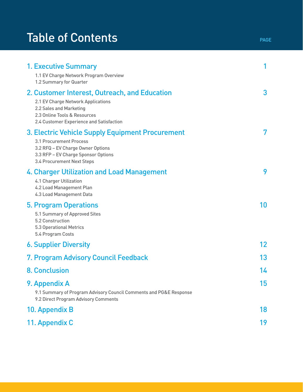# Table of Contents

| <b>1. Executive Summary</b><br>1.1 EV Charge Network Program Overview<br>1.2 Summary for Quarter                                                                                           |    |
|--------------------------------------------------------------------------------------------------------------------------------------------------------------------------------------------|----|
| 2. Customer Interest, Outreach, and Education<br>2.1 EV Charge Network Applications<br>2.2 Sales and Marketing<br>2.3 Online Tools & Resources<br>2.4 Customer Experience and Satisfaction | 3  |
| 3. Electric Vehicle Supply Equipment Procurement<br>3.1 Procurement Process<br>3.2 RFQ - EV Charge Owner Options<br>3.3 RFP - EV Charge Sponsor Options<br>3.4 Procurement Next Steps      | 7  |
| 4. Charger Utilization and Load Management<br>4.1 Charger Utilization<br>4.2 Load Management Plan<br>4.3 Load Management Data                                                              | 9  |
| <b>5. Program Operations</b><br>5.1 Summary of Approved Sites<br>5.2 Construction<br><b>5.3 Operational Metrics</b><br>5.4 Program Costs                                                   | 10 |
| <b>6. Supplier Diversity</b>                                                                                                                                                               | 12 |
| 7. Program Advisory Council Feedback                                                                                                                                                       | 13 |
| <b>8. Conclusion</b>                                                                                                                                                                       | 14 |
| 9. Appendix A<br>9.1 Summary of Program Advisory Council Comments and PG&E Response<br>9.2 Direct Program Advisory Comments                                                                | 15 |
| 10. Appendix B                                                                                                                                                                             | 18 |
| 11. Appendix C                                                                                                                                                                             | 19 |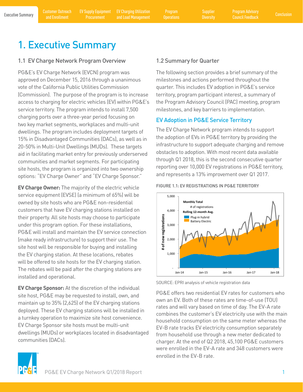<span id="page-2-0"></span>

### 1. Executive Summary

### 1.1 EV Charge Network Program Overview

PG&E's EV Charge Network (EVCN) program was approved on December 15, 2016 through a unanimous vote of the California Public Utilities Commission (Commission). The purpose of the program is to increase access to charging for electric vehicles (EV) within PG&E's service territory. The program intends to install 7,500 charging ports over a three-year period focusing on two key market segments, workplaces and multi-unit dwellings. The program includes deployment targets of 15% in Disadvantaged Communities (DACs), as well as in 20-50% in Multi-Unit Dwellings (MUDs). These targets aid in facilitating market entry for previously underserved communities and market segments. For participating site hosts, the program is organized into two ownership options: "EV Charge Owner" and "EV Charge Sponsor."

**EV Charge Owner:** The majority of the electric vehicle service equipment (EVSE) (a minimum of 65%) will be owned by site hosts who are PG&E non-residential customers that have EV charging stations installed on their property. All site hosts may choose to participate under this program option. For these installations, PG&E will install and maintain the EV service connection (make ready infrastructure) to support their use. The site host will be responsible for buying and installing the EV charging station. At these locations, rebates will be offered to site hosts for the EV charging station. The rebates will be paid after the charging stations are installed and operational.

**EV Charge Sponsor:** At the discretion of the individual site host, PG&E may be requested to install, own, and maintain up to 35% (2,625) of the EV charging stations deployed. These EV charging stations will be installed in a turnkey operation to maximize site host convenience. EV Charge Sponsor site hosts must be multi-unit dwellings (MUDs) or workplaces located in disadvantaged communities (DACs).

### 1.2 Summary for Quarter

The following section provides a brief summary of the milestones and actions performed throughout the quarter. This includes EV adoption in PG&E's service territory, program participant interest, a summary of the Program Advisory Council (PAC) meeting, program milestones, and key barriers to implementation.

### EV Adoption in PG&E Service Territory

The EV Charge Network program intends to support the adoption of EVs in PG&E territory by providing the infrastructure to support adequate charging and remove obstacles to adoption. With most recent data available through Q1 2018, this is the second consecutive quarter reporting over 10,000 EV registrations in PG&E territory, and represents a 13% improvement over Q1 2017.



#### FIGURE 1.1: EV REGISTRATIONS IN PG&E TERRITORY

SOURCE: EPRI analysis of vehicle registration data

PG&E offers two residential EV rates for customers who own an EV. Both of these rates are time-of-use (TOU) rates and will vary based on time of day. The EV-A rate combines the customer's EV electricity use with the main household consumption on the same meter whereas the EV-B rate tracks EV electricity consumption separately from household use through a new meter dedicated to charger. At the end of Q2 2018, 45,100 PG&E customers were enrolled in the EV-A rate and 348 customers were enrolled in the EV-B rate.

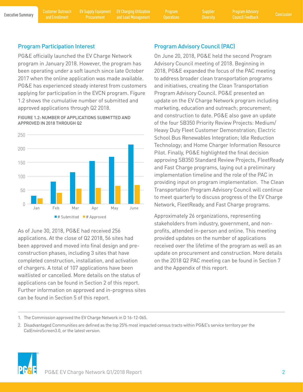Executive Summary [Customer Outreach](#page-4-0) EV Supply Equipment EV Charging Utilization Program Supplier Program Advisory<br>Executive Summary and Encellment Programent and Lead Management Operations Diversity Council Encelhack Concl [EV Supply Equipment](#page-8-0)  Procurement

[EV Charging Utilization](#page-10-0)  and Load Management Program

**[Diversity](#page-13-0)** 

### Program Participation Interest

PG&E officially launched the EV Charge Network program in January 2018. However, the program has been operating under a soft launch since late October 2017 when the online application was made available. PG&E has experienced steady interest from customers applying for participation in the EVCN program. Figure 1.2 shows the cumulative number of submitted and approved applications through Q2 2018.

FIGURE 1.2: NUMBER OF APPLICATIONS SUBMITTED AND APPROVED IN 2018 THROUGH Q2



As of June 30, 2018, PG&E had received 256 applications. At the close of Q2 2018, 56 sites had been approved and moved into final design and preconstruction phases, including 3 sites that have completed construction, installation, and activation of chargers. A total of 107 applications have been waitlisted or cancelled. More details on the status of applications can be found in Section 2 of this report. Further information on approved and in-progress sites can be found in Section 5 of this report.

### Program Advisory Council (PAC)

On June 20, 2018, PG&E held the second Program Advisory Council meeting of 2018. Beginning in 2018, PG&E expanded the focus of the PAC meeting to address broader clean transportation programs and initiatives, creating the Clean Transportation Program Advisory Council. PG&E presented an update on the EV Charge Network program including marketing, education and outreach; procurement; and construction to date. PG&E also gave an update of the four SB350 Priority Review Projects: Medium/ Heavy Duty Fleet Customer Demonstration; Electric School Bus Renewables Integration; Idle Reduction Technology; and Home Charger Information Resource Pilot. Finally, PG&E highlighted the final decision approving SB350 Standard Review Projects, FleetReady and Fast Charge programs, laying out a preliminary implementation timeline and the role of the PAC in providing input on program implementation. The Clean Transportation Program Advisory Council will continue to meet quarterly to discuss progress of the EV Charge Network, FleetReady, and Fast Charge programs.

Approximately 26 organizations, representing stakeholders from industry, government, and nonprofits, attended in-person and online. This meeting provided updates on the number of applications received over the lifetime of the program as well as an update on procurement and construction. More details on the 2018 Q2 PAC meeting can be found in Section 7 and the Appendix of this report.

<sup>2.</sup> Disadvantaged Communities are defined as the top 25% most impacted census tracts within PG&E's service territory per the CalEnviroScreen3.0, or the latest version.



<sup>1.</sup> The Commission approved the EV Charge Network in D 16-12-065.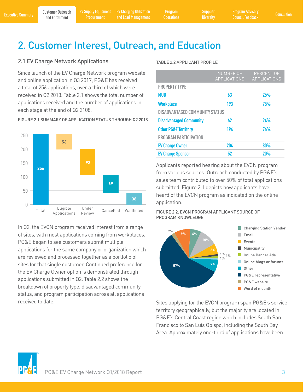### <span id="page-4-0"></span>2. Customer Interest, Outreach, and Education

### 2.1 EV Charge Network Applications

Since launch of the EV Charge Network program website and online application in Q3 2017, PG&E has received a total of 256 applications, over a third of which were received in Q2 2018. Table 2.1 shows the total number of applications received and the number of applications in each stage at the end of Q2 2108.



FIGURE 2.1 SUMMARY OF APPLICATION STATUS THROUGH Q2 2018

In Q2, the EVCN program received interest from a range of sites, with most applications coming from workplaces. PG&E began to see customers submit multiple applications for the same company or organization which are reviewed and processed together as a portfolio of sites for that single customer. Continued preference for the EV Charge Owner option is demonstrated through applications submitted in Q2. Table 2.2 shows the breakdown of property type, disadvantaged community status, and program participation across all applications received to date.

#### TABLE 2.2 APPLICANT PROFILE

|                                       | <b>NUMBER OF</b><br><b>APPLICATIONS</b> | <b>PERCENT OF</b><br><b>APPLICATIONS</b> |
|---------------------------------------|-----------------------------------------|------------------------------------------|
| <b>PROPERTY TYPE</b>                  |                                         |                                          |
| <b>MUD</b>                            | 63                                      | 25%                                      |
| <b>Workplace</b>                      | 193                                     | <b>75%</b>                               |
| <b>DISADVANTAGED COMMUNITY STATUS</b> |                                         |                                          |
| <b>Disadvantaged Community</b>        | 62                                      | 24%                                      |
| <b>Other PG&amp;E Territory</b>       | 194                                     | <b>76%</b>                               |
| PROGRAM PARTICIPATION                 |                                         |                                          |
| <b>EV Charge Owner</b>                | 204                                     | 80%                                      |
| <b>EV Charge Sponsor</b>              | 52                                      | <b>20%</b>                               |

Applicants reported hearing about the EVCN program from various sources. Outreach conducted by PG&E's sales team contributed to over 50% of total applications submitted. Figure 2.1 depicts how applicants have heard of the EVCN program as indicated on the online application.

#### FIGURE 2.2: EVCN PROGRAM APPLICANT SOURCE OF PROGRAM KNOWLEDGE



Sites applying for the EVCN program span PG&E's service territory geographically, but the majority are located in PG&E's Central Coast region which includes South San Francisco to San Luis Obispo, including the South Bay Area. Approximately one-third of applications have been

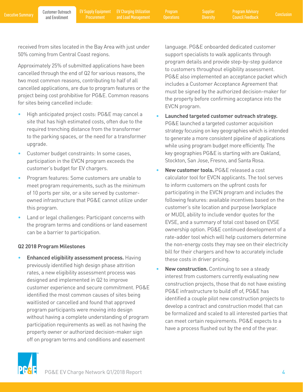**[Diversity](#page-13-0)** 

received from sites located in the Bay Area with just under 50% coming from Central Coast regions.

Approximately 25% of submitted applications have been cancelled through the end of Q2 for various reasons, the two most common reasons, contributing to half of all cancelled applications, are due to program features or the project being cost prohibitive for PG&E. Common reasons for sites being cancelled include:

- High anticipated project costs: PG&E may cancel a site that has high estimated costs, often due to the required trenching distance from the transformer to the parking spaces, or the need for a transformer upgrade.
- Customer budget constraints: In some cases, participation in the EVCN program exceeds the customer's budget for EV chargers.
- Program features: Some customers are unable to meet program requirements, such as the minimum of 10 ports per site, or a site served by customerowned infrastructure that PG&E cannot utilize under this program.
- Land or legal challenges: Participant concerns with the program terms and conditions or land easement can be a barrier to participation.

### **Q2 2018 Program Milestones**

• **Enhanced eligibility assessment process.** Having previously identified high design phase attrition rates, a new eligibility assessment process was designed and implemented in Q2 to improve customer experience and secure commitment. PG&E identified the most common causes of sites being waitlisted or cancelled and found that approved program participants were moving into design without having a complete understanding of program participation requirements as well as not having the property owner or authorized decision-maker sign off on program terms and conditions and easement

language. PG&E onboarded dedicated customer support specialists to walk applicants through program details and provide step-by-step guidance to customers throughout eligibility assessment. PG&E also implemented an acceptance packet which includes a Customer Acceptance Agreement that must be signed by the authorized decision-maker for the property before confirming acceptance into the EVCN program.

- **Launched targeted customer outreach strategy.**  PG&E launched a targeted customer acquisition strategy focusing on key geographies which is intended to generate a more consistent pipeline of applications while using program budget more efficiently. The key geographies PG&E is starting with are Oakland, Stockton, San Jose, Fresno, and Santa Rosa.
- **New customer tools.** PG&E released a cost calculator tool for EVCN applicants. The tool serves to inform customers on the upfront costs for participating in the EVCN program and includes the following features: available incentives based on the customer's site location and purpose (workplace or MUD), ability to include vendor quotes for the EVSE, and a summary of total cost based on EVSE ownership option. PG&E continued development of a rate-adder tool which will help customers determine the non-energy costs they may see on their electricity bill for their chargers and how to accurately include these costs in driver pricing.
- **New construction.** Continuing to see a steady interest from customers currently evaluating new construction projects, those that do not have existing PG&E infrastructure to build off of, PG&E has identified a couple pilot new construction projects to develop a contract and construction model that can be formalized and scaled to all interested parties that can meet certain requirements. PG&E expects to a have a process flushed out by the end of the year.

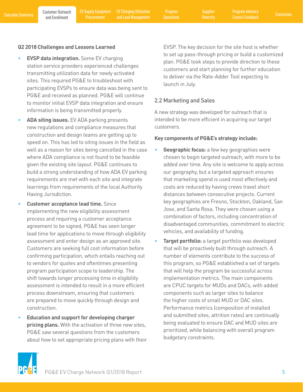**[Diversity](#page-13-0)** 

### **Q2 2018 Challenges and Lessons Learned**

- **EVSP data integration.** Some EV charging station service providers experienced challenges transmitting utilization data for newly activated sites. This required PG&E to troubleshoot with participating EVSPs to ensure data was being sent to PG&E and received as planned. PG&E will continue to monitor initial EVSP data integration and ensure information is being transmitted properly.
- **ADA siting issues.** EV ADA parking presents new regulations and compliance measures that construction and design teams are getting up to speed on. This has led to siting issues in the field as well as a reason for sites being cancelled in the case where ADA compliance is not found to be feasible given the existing site layout. PG&E continues to build a strong understanding of how ADA EV parking requirements are met with each site and integrate learnings from requirements of the local Authority Having Jurisdiction.
- **Customer acceptance lead time.** Since implementing the new eligibility assessment process and requiring a customer acceptance agreement to be signed, PG&E has seen longer lead time for applications to move through eligibility assessment and enter design as an approved site. Customers are seeking full cost information before confirming participation, which entails reaching out to vendors for quotes and oftentimes presenting program participation scope to leadership. The shift towards longer processing time in eligibility assessment is intended to result in a more efficient process downstream, ensuring that customers are prepared to move quickly through design and construction.
- **Education and support for developing charger pricing plans.** With the activation of three new sites, PG&E saw several questions from the customers about how to set appropriate pricing plans with their

EVSP. The key decision for the site host is whether to set up pass-through pricing or build a customized plan. PG&E took steps to provide direction to these customers and start planning for further education to deliver via the Rate-Adder Tool expecting to launch in July.

### 2.2 Marketing and Sales

A new strategy was developed for outreach that is intended to be more efficient in acquiring our target customers.

### **Key components of PG&E's strategy include:**

- **Geographic focus:** a few key geographies were chosen to begin targeted outreach, with more to be added over time. Any site is welcome to apply across our geography, but a targeted approach ensures that marketing spend is used most effectively and costs are reduced by having crews travel short distances between consecutive projects. Current key geographies are Fresno, Stockton, Oakland, San Jose, and Santa Rosa. They were chosen using a combination of factors, including concentration of disadvantaged communities, commitment to electric vehicles, and availability of funding.
- **Target portfolio:** a target portfolio was developed that will be proactively built through outreach. A number of elements contribute to the success of this program, so PG&E established a set of targets that will help the program be successful across implementation metrics. The main components are CPUC targets for MUDs and DACs, with added components such as larger sites to balance the higher costs of small MUD or DAC sites. Performance metrics (composition of installed and submitted sites, attrition rates) are continually being evaluated to ensure DAC and MUD sites are prioritized, while balancing with overall program budgetary constraints.

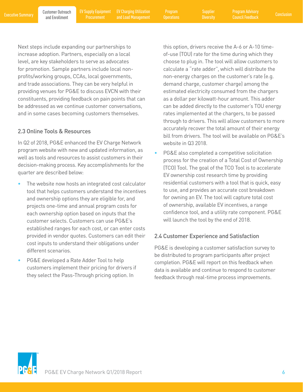**Procurement** 

[Executive Summary](#page-2-0) Poustomer Outreach [EV Supply Equipment](#page-8-0) EV Charging Utilization Program Supplier Program Advisory<br>Executive Summary and Enrollment Procurement and Load Management Operations Diversity Council Feedback Conc [EV Charging Utilization](#page-10-0)  and Load Management

Program

**[Diversity](#page-13-0)** 

Next steps include expanding our partnerships to increase adoption. Partners, especially on a local level, are key stakeholders to serve as advocates for promotion. Sample partners include local nonprofits/working groups, CCAs, local governments, and trade associations. They can be very helpful in providing venues for PG&E to discuss EVCN with their constituents, providing feedback on pain points that can be addressed as we continue customer conversations, and in some cases becoming customers themselves.

### 2.3 Online Tools & Resources

In Q2 of 2018, PG&E enhanced the EV Charge Network program website with new and updated information, as well as tools and resources to assist customers in their decision-making process. Key accomplishments for the quarter are described below:

- The website now hosts an integrated cost calculator tool that helps customers understand the incentives and ownership options they are eligible for, and projects one-time and annual program costs for each ownership option based on inputs that the customer selects. Customers can use PG&E's established ranges for each cost, or can enter costs provided in vendor quotes. Customers can edit their cost inputs to understand their obligations under different scenarios.
- PG&E developed a Rate Adder Tool to help customers implement their pricing for drivers if they select the Pass-Through pricing option. In

this option, drivers receive the A-6 or A-10 timeof-use (TOU) rate for the time during which they choose to plug in. The tool will allow customers to calculate a "rate adder", which will distribute the non-energy charges on the customer's rate (e.g. demand charge, customer charge) among the estimated electricity consumed from the chargers as a dollar per kilowatt-hour amount. This adder can be added directly to the customer's TOU energy rates implemented at the chargers, to be passed through to drivers. This will allow customers to more accurately recover the total amount of their energy bill from drivers. The tool will be available on PG&E's website in Q3 2018.

• PG&E also completed a competitive solicitation process for the creation of a Total Cost of Ownership (TCO) Tool. The goal of the TCO Tool is to accelerate EV ownership cost research time by providing residential customers with a tool that is quick, easy to use, and provides an accurate cost breakdown for owning an EV. The tool will capture total cost of ownership, available EV incentives, a range confidence tool, and a utility rate component. PG&E will launch the tool by the end of 2018.

### 2.4 Customer Experience and Satisfaction

PG&E is developing a customer satisfaction survey to be distributed to program participants after project completion. PG&E will report on this feedback when data is available and continue to respond to customer feedback through real-time process improvements.

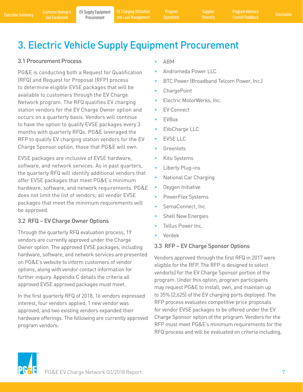<span id="page-8-0"></span>[Executive Summary](#page-2-0) Customer Outreach EV Supply Equipment EV Charging Utilization Program Supplier Program Advisory<br>Executive Summary and Enrollment Procurement and Load Management Operations Diversity Council Feedback Concl [EV Charging Utilization](#page-10-0)  and Load Management

Program

**[Diversity](#page-13-0)** 

### 3. Electric Vehicle Supply Equipment Procurement

### 3.1 Procurement Process

PG&E is conducting both a Request for Qualification (RFQ) and Request for Proposal (RFP) process to determine eligible EVSE packages that will be available to customers through the EV Charge Network program. The RFQ qualifies EV charging station vendors for the EV Charge Owner option and occurs on a quarterly basis. Vendors will continue to have the option to qualify EVSE packages every 3 months with quarterly RFQs. PG&E leveraged the RFP to qualify EV charging station vendors for the EV Charge Sponsor option, those that PG&E will own.

EVSE packages are inclusive of EVSE hardware, software, and network services. As in past quarters, the quarterly RFQ will identify additional vendors that offer EVSE packages that meet PG&E's minimum hardware, software, and network requirements. PG&E does not limit the list of vendors; all vendor EVSE packages that meet the minimum requirements will be approved.

### 3.2 RFQ – EV Charge Owner Options

Through the quarterly RFQ evaluation process, 19 vendors are currently approved under the Charge Owner option. The approved EVSE packages, including hardware, software, and network services are presented on PG&E's website to inform customers of vendor options, along with vendor contact information for further inquiry. Appendix C details the criteria all approved EVSE approved packages must meet.

In the first quarterly RFQ of 2018, 16 vendors expressed interest, four vendors applied, 1 new vendor was approved, and two existing vendors expanded their hardware offerings. The following are currently approved program vendors:

- ABM
- Andromeda Power LLC
- BTC Power (Broadband Telcom Power, Inc.)
- ChargePoint
- Electric MotorWerks, Inc.
- EV Connect
- EVBox
- EVoCharge LLC
- **EVSE LLC**
- Greenlots
- Kitu Systems
- Liberty Plug-ins
- National Car Charging
- Oxygen Initiative
- PowerFlex Systems
- SemaConnect, Inc.
- Shell New Energies
- Tellus Power Inc.
- Verdek

### 3.3 RFP – EV Charge Sponsor Options

Vendors approved through the first RFQ in 2017 were eligible for the RFP. The RFP is designed to select vendor(s) for the EV Charge Sponsor portion of the program. Under this option, program participants may request PG&E to install, own, and maintain up to 35% (2,625) of the EV charging ports deployed. The RFP process evaluates competitive price proposals for vendor EVSE packages to be offered under the EV Charge Sponsor option of the program. Vendors for the RFP must meet PG&E's minimum requirements for the RFQ process and will be evaluated on criteria including,

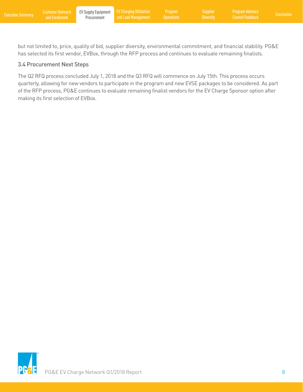but not limited to, price, quality of bid, supplier diversity, environmental commitment, and financial stability. PG&E has selected its first vendor, EVBox, through the RFP process and continues to evaluate remaining finalists.

### 3.4 Procurement Next Steps

The Q2 RFQ process concluded July 1, 2018 and the Q3 RFQ will commence on July 15th. This process occurs quarterly, allowing for new vendors to participate in the program and new EVSE packages to be considered. As part of the RFP process, PG&E continues to evaluate remaining finalist vendors for the EV Charge Sponsor option after making its first selection of EVBox.

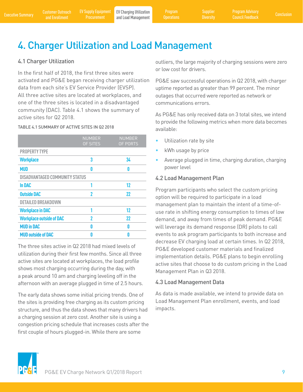<span id="page-10-0"></span>Customer Outreach EV Supply Equipment EV Charging Utilization Program Mark Supplier Program Advisory (Conclusion<br>[Executive Summary](#page-2-0) and Enrollment Procurement and Load Management Operations Diversity Council Feedback Conclu EV Charging Utilization and Load Management

Program

**[Diversity](#page-13-0)** 

### 4. Charger Utilization and Load Management

### 4.1 Charger Utilization

In the first half of 2018, the first three sites were activated and PG&E began receiving charger utilization data from each site's EV Service Provider (EVSP). All three active sites are located at workplaces, and one of the three sites is located in a disadvantaged community (DAC). Table 4.1 shows the summary of active sites for Q2 2018.

#### TABLE 4.1 SUMMARY OF ACTIVE SITES IN Q2 2018

|                                       | <b>NUMBER</b><br>OF SITES | <b>NUMBER</b><br>OF PORTS |
|---------------------------------------|---------------------------|---------------------------|
| <b>PROPERTY TYPE</b>                  |                           |                           |
| <b>Workplace</b>                      | 3                         | 34                        |
| <b>MUD</b>                            | N                         | Λ                         |
| <b>DISADVANTAGED COMMUNITY STATUS</b> |                           |                           |
| <b>In DAC</b>                         | 1                         | 12                        |
| <b>Outside DAC</b>                    | 2                         | 22                        |
| <b>DETAILED BREAKDOWN</b>             |                           |                           |
| <b>Workplace in DAC</b>               | 1                         | 12                        |
| <b>Workplace outside of DAC</b>       | 2                         | 22                        |
| <b>MUD in DAC</b>                     | N                         | Λ                         |
| <b>MUD outside of DAC</b>             | Λ                         | Λ                         |

The three sites active in Q2 2018 had mixed levels of utilization during their first few months. Since all three active sites are located at workplaces, the load profile shows most charging occurring during the day, with a peak around 10 am and charging leveling off in the afternoon with an average plugged in time of 2.5 hours.

The early data shows some initial pricing trends. One of the sites is providing free charging as its custom pricing structure, and thus the data shows that many drivers had a charging session at zero cost. Another site is using a congestion pricing schedule that increases costs after the first couple of hours plugged-in. While there are some

outliers, the large majority of charging sessions were zero or low cost for drivers.

PG&E saw successful operations in Q2 2018, with charger uptime reported as greater than 99 percent. The minor outages that occurred were reported as network or communications errors.

As PG&E has only received data on 3 total sites, we intend to provide the following metrics when more data becomes available:

- Utilization rate by site
- kWh usage by price
- Average plugged in time, charging duration, charging power level

### 4.2 Load Management Plan

Program participants who select the custom pricing option will be required to participate in a load management plan to maintain the intent of a time-ofuse rate in shifting energy consumption to times of low demand, and away from times of peak demand. PG&E will leverage its demand response (DR) pilots to call events to ask program participants to both increase and decrease EV charging load at certain times. In Q2 2018, PG&E developed customer materials and finalized implementation details. PG&E plans to begin enrolling active sites that choose to do custom pricing in the Load Management Plan in Q3 2018.

### 4.3 Load Management Data

As data is made available, we intend to provide data on Load Management Plan enrollment, events, and load impacts.

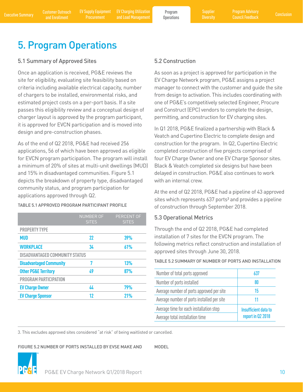<span id="page-11-0"></span>

### 5. Program Operations

### 5.1 Summary of Approved Sites

Once an application is received, PG&E reviews the site for eligibility, evaluating site feasibility based on criteria including available electrical capacity, number of chargers to be installed, environmental risks, and estimated project costs on a per-port basis. If a site passes this eligibility review and a conceptual design of charger layout is approved by the program participant, it is approved for EVCN participation and is moved into design and pre-construction phases.

As of the end of Q2 2018, PG&E had received 256 applications, 56 of which have been approved as eligible for EVCN program participation. The program will install a minimum of 20% of sites at multi-unit dwellings (MUD) and 15% in disadvantaged communities. Figure 5.1 depicts the breakdown of property type, disadvantaged community status, and program participation for applications approved through Q2.

#### TABLE 5.1 APPROVED PROGRAM PARTICIPANT PROFILE

|                                       | <b>NUMBER OF</b><br><b>SITES</b> | <b>PERCENT OF</b><br><b>SITES</b> |
|---------------------------------------|----------------------------------|-----------------------------------|
| <b>PROPERTY TYPE</b>                  |                                  |                                   |
| <b>MUD</b>                            | 22                               | 39%                               |
| <b>WORKPLACE</b>                      | 34                               | 61%                               |
| <b>DISADVANTAGED COMMUNITY STATUS</b> |                                  |                                   |
| <b>Disadvantaged Community</b>        | 7                                | 13%                               |
| <b>Other PG&amp;E Territory</b>       | 49                               | <b>87%</b>                        |
| <b>PROGRAM PARTICIPATION</b>          |                                  |                                   |
| <b>EV Charge Owner</b>                | Щ.                               | <b>79%</b>                        |
| <b>EV Charge Sponsor</b>              | 12                               | 21%                               |

### 5.2 Construction

As soon as a project is approved for participation in the EV Charge Network program, PG&E assigns a project manager to connect with the customer and guide the site from design to activation. This includes coordinating with one of PG&E's competitively selected Engineer, Procure and Construct (EPC) vendors to complete the design, permitting, and construction for EV charging sites.

In Q1 2018, PG&E finalized a partnership with Black & Veatch and Cupertino Electric to complete design and construction for the program. In Q2, Cupertino Electric completed construction of five projects comprised of four EV Charge Owner and one EV Charge Sponsor sites. Black & Veatch completed six designs but have been delayed in construction. PG&E also continues to work with an internal crew.

At the end of Q2 2018, PG&E had a pipeline of 43 approved sites which represents 637 ports<sup>3</sup> and provides a pipeline of construction through September 2018.

### 5.3 Operational Metrics

Through the end of Q2 2018, PG&E had completed installation of 7 sites for the EVCN program. The following metrics reflect construction and installation of approved sites through June 30, 2018.

#### TABLE 5.2 SUMMARY OF NUMBER OF PORTS AND INSTALLATION

| Number of total ports approved             | 637                  |
|--------------------------------------------|----------------------|
| Number of ports installed                  | 80                   |
| Average number of ports approved per site  | 15                   |
| Average number of ports installed per site | 11                   |
| Average time for each installation step    | Insufficient data to |
| Average total installation time            | report in Q2 2018    |

3. This excludes approved sites considered "at risk" of being waitlisted or cancelled.

FIGURE 5.2 NUMBER OF PORTS INSTALLED BY EVSE MAKE AND MODEL

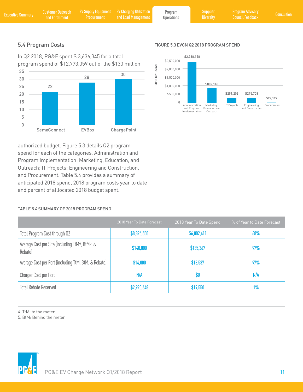| <b>Executive Summary</b> | and Enrollment | Procurement | Customer Outreach EV Supply Equipment EV Charging Utilization<br>and Load Management | Program<br>Operations | <b>Supplier</b><br><b>Diversity</b> | Program Advisory<br><b>Council Feedback</b> | Conclusion |
|--------------------------|----------------|-------------|--------------------------------------------------------------------------------------|-----------------------|-------------------------------------|---------------------------------------------|------------|
|                          |                |             |                                                                                      |                       |                                     |                                             |            |

### 5.4 Program Costs

In Q2 2018, PG&E spent \$ 3,636,345 for a total program spend of \$12,773,059 out of the \$130 million



authorized budget. Figure 5.3 details Q2 program spend for each of the categories, Administration and Program Implementation; Marketing, Education, and Outreach; IT Projects; Engineering and Construction, and Procurement. Table 5.4 provides a summary of anticipated 2018 spend, 2018 program costs year to date and percent of alllocated 2018 budget spent.

#### TABLE 5.4 SUMMARY OF 2018 PROGRAM SPEND

### Total Program Cost through Q2 68% **\$8,826,650** \$6,002,411 68% **\$6,002,411** 68% Average Cost per Site (including TtM4, BtM5, & Rebate)  $$140,000$   $$135,367$  97% Average Cost per Port (including TtM, BtM, & Rebate) **\$14,000** \$13,537 \$13,537 \$13,537 \$13,537 \$13,537 \$13,537 \$13,537 \$13,537 \$13,537 \$13,537 \$13,537 \$13,537 \$13,537 \$13,537 \$13,537 \$13,537 \$13,537 \$13,537 \$13,537 \$13,537 Charger Cost per Port N/A N/A N/A N/A  $\bullet$   $\bullet$   $\bullet$   $\bullet$  N/A N/A Total Rebate Reserved \$2,920,648 \$19.550 1%

4. TtM: to the meter

5. BtM: Behind the meter



### FIGURE 5.3 EVCN Q2 2018 PROGRAM SPEND

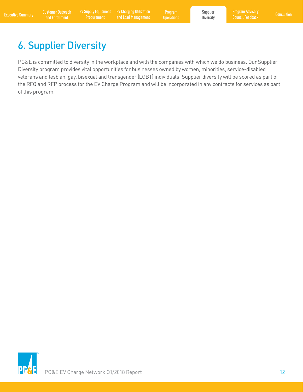<span id="page-13-0"></span>[Executive Summary](#page-2-0) Customer Outreach [EV Supply Equipment](#page-8-0) EV Charging Utilization Program Supplier Program Advisory<br>Executive Summary and Enrollment Procurement and Load Management Operations Diversity Council Feedback Concl [EV Charging Utilization](#page-10-0)  and Load Management

Program

Supplier **Diversity** 

### 6. Supplier Diversity

PG&E is committed to diversity in the workplace and with the companies with which we do business. Our Supplier Diversity program provides vital opportunities for businesses owned by women, minorities, service-disabled veterans and lesbian, gay, bisexual and transgender (LGBT) individuals. Supplier diversity will be scored as part of the RFQ and RFP process for the EV Charge Program and will be incorporated in any contracts for services as part of this program.

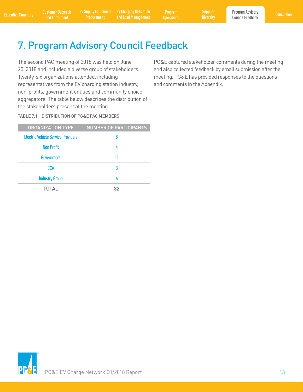<span id="page-14-0"></span>[Executive Summary](#page-2-0) Customer Outreach [EV Supply Equipment](#page-8-0) EV Charging Utilization Program Supplier Rogram Advisory<br>Executive Summary and Enrollment Procurement and Load Management Operations Diversity Council Feedback Conclu [EV Charging Utilization](#page-10-0)  and Load Management

Program **[Operations](#page-11-0)**  Supplier

### 7. Program Advisory Council Feedback

The second PAC meeting of 2018 was held on June 20, 2018 and included a diverse group of stakeholders. Twenty-six organizations attended, including representatives from the EV charging station industry, non-profits, government entities and community choice aggregators. The table below describes the distribution of the stakeholders present at the meeting.

PG&E captured stakeholder comments during the meeting and also collected feedback by email submission after the meeting. PG&E has provided responses to the questions and comments in the Appendix.

### TABLE 7.1 – DISTRIBUTION OF PG&E PAC MEMBERS

| ORGANIZATION TYPE                         | <b>NUMBER OF PARTICIPANTS</b> |
|-------------------------------------------|-------------------------------|
| <b>Electric Vehicle Service Providers</b> | 8                             |
| <b>Non Profit</b>                         | 4                             |
| Government                                |                               |
| CCA                                       | 3                             |
| <b>Industry Group</b>                     | h                             |
| <b>TOTAL</b>                              | 32                            |

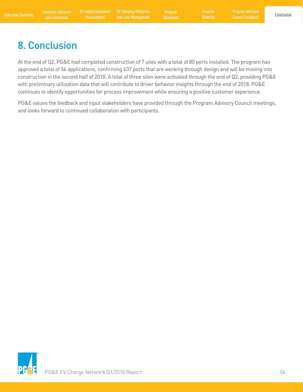Program **[Operations](#page-11-0)** 

### <span id="page-15-0"></span>8. Conclusion

At the end of Q2, PG&E had completed construction of 7 sites with a total of 80 ports installed. The program has approved a total of 56 applications, confirming 637 ports that are working through design and will be moving into construction in the second half of 2018. A total of three sites were activated through the end of Q2, providing PG&E with preliminary utilization data that will contribute to driver behavior insights through the end of 2018. PG&E continues to identify opportunities for process improvement while ensuring a positive customer experience.

PG&E values the feedback and input stakeholders have provided through the Program Advisory Council meetings, and looks forward to continued collaboration with participants.

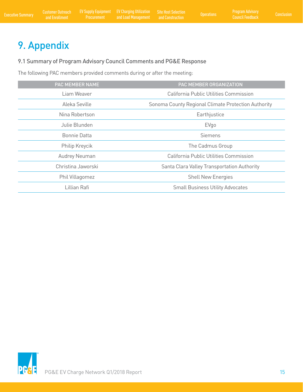### <span id="page-16-0"></span>9. Appendix

### 9.1 Summary of Program Advisory Council Comments and PG&E Response

The following PAC members provided comments during or after the meeting:

| PAC MEMBER NAME      | PAC MEMBER ORGANIZATION                             |
|----------------------|-----------------------------------------------------|
| Liam Weaver          | California Public Utilities Commission              |
| Aleka Seville        | Sonoma County Regional Climate Protection Authority |
| Nina Robertson       | Earthjustice                                        |
| Julie Blunden        | EVgo                                                |
| Bonnie Datta         | <b>Siemens</b>                                      |
| Philip Kreycik       | The Cadmus Group                                    |
| <b>Audrey Neuman</b> | California Public Utilities Commission              |
| Christina Jaworski   | Santa Clara Valley Transportation Authority         |
| Phil Villagomez      | <b>Shell New Energies</b>                           |
| Lillian Rafi         | <b>Small Business Utility Advocates</b>             |

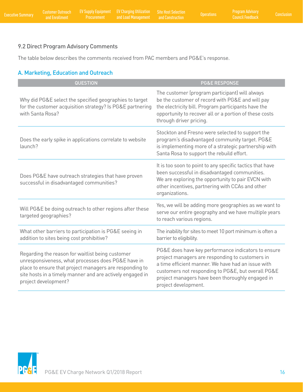### <span id="page-17-0"></span>9.2 Direct Program Advisory Comments

The table below describes the comments received from PAC members and PG&E's response.

### A. Marketing, Education and Outreach

| <b>QUESTION</b>                                                                                                                                                                                                                                        | <b>PG&amp;E RESPONSE</b>                                                                                                                                                                                                                                                                       |
|--------------------------------------------------------------------------------------------------------------------------------------------------------------------------------------------------------------------------------------------------------|------------------------------------------------------------------------------------------------------------------------------------------------------------------------------------------------------------------------------------------------------------------------------------------------|
| Why did PG&E select the specified geographies to target<br>for the customer acquisition strategy? Is PG&E partnering<br>with Santa Rosa?                                                                                                               | The customer (program participant) will always<br>be the customer of record with PG&E and will pay<br>the electricity bill. Program participants have the<br>opportunity to recover all or a portion of these costs<br>through driver pricing.                                                 |
| Does the early spike in applications correlate to website<br>launch?                                                                                                                                                                                   | Stockton and Fresno were selected to support the<br>program's disadvantaged community target. PG&E<br>is implementing more of a strategic partnership with<br>Santa Rosa to support the rebuild effort.                                                                                        |
| Does PG&E have outreach strategies that have proven<br>successful in disadvantaged communities?                                                                                                                                                        | It is too soon to point to any specific tactics that have<br>been successful in disadvantaged communities.<br>We are exploring the opportunity to pair EVCN with<br>other incentives, partnering with CCAs and other<br>organizations.                                                         |
| Will PG&E be doing outreach to other regions after these<br>targeted geographies?                                                                                                                                                                      | Yes, we will be adding more geographies as we want to<br>serve our entire geography and we have multiple years<br>to reach various regions.                                                                                                                                                    |
| What other barriers to participation is PG&E seeing in<br>addition to sites being cost prohibitive?                                                                                                                                                    | The inability for sites to meet 10 port minimum is often a<br>barrier to eligibility.                                                                                                                                                                                                          |
| Regarding the reason for waitlist being customer<br>unresponsiveness, what processes does PG&E have in<br>place to ensure that project managers are responding to<br>site hosts in a timely manner and are actively engaged in<br>project development? | PG&E does have key performance indicators to ensure<br>project managers are responding to customers in<br>a time efficient manner. We have had an issue with<br>customers not responding to PG&E, but overall PG&E<br>project managers have been thoroughly engaged in<br>project development. |

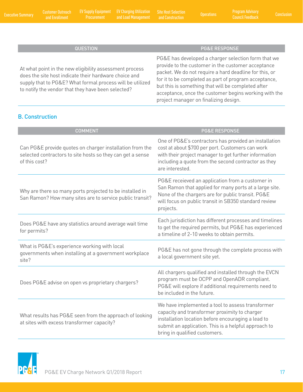EV Charging Utilization Site Host Selection<br>
and Load Management and Construction Construction

| u | u |  |
|---|---|--|

At what point in the new eligibility assessment process does the site host indicate their hardware choice and supply that to PG&E? What formal process will be utilized to notify the vendor that they have been selected?

#### QUESTION PG&E RESPONSE

PG&E has developed a charger selection form that we provide to the customer in the customer acceptance packet. We do not require a hard deadline for this, or for it to be completed as part of program acceptance, but this is something that will be completed after acceptance, once the customer begins working with the project manager on finalizing design.

### B. Construction

| <b>COMMENT</b>                                                                                                                          | <b>PG&amp;E RESPONSE</b>                                                                                                                                                                                                                         |
|-----------------------------------------------------------------------------------------------------------------------------------------|--------------------------------------------------------------------------------------------------------------------------------------------------------------------------------------------------------------------------------------------------|
| Can PG&E provide quotes on charger installation from the<br>selected contractors to site hosts so they can get a sense<br>of this cost? | One of PG&E's contractors has provided an installation<br>cost at about \$700 per port. Customers can work<br>with their project manager to get further information<br>including a quote from the second contractor as they<br>are interested.   |
| Why are there so many ports projected to be installed in<br>San Ramon? How many sites are to service public transit?                    | PG&E receieved an application from a customer in<br>San Ramon that applied for many ports at a large site.<br>None of the chargers are for public transit. PG&E<br>will focus on public transit in SB350 standard review<br>projects.            |
| Does PG&E have any statistics around average wait time<br>for permits?                                                                  | Each jurisdiction has different processes and timelines<br>to get the required permits, but PG&E has experienced<br>a timeline of 2-10 weeks to obtain permits.                                                                                  |
| What is PG&E's experience working with local<br>governments when installing at a government workplace<br>site?                          | PG&E has not gone through the complete process with<br>a local government site yet.                                                                                                                                                              |
| Does PG&E advise on open vs proprietary chargers?                                                                                       | All chargers qualified and installed through the EVCN<br>program must be OCPP and OpenADR compliant.<br>PG&E will explore if additional requirements need to<br>be included in the future.                                                       |
| What results has PG&E seen from the approach of looking<br>at sites with excess transformer capacity?                                   | We have implemented a tool to assess transformer<br>capacity and transformer proximity to charger<br>installation location before encouraging a lead to<br>submit an application. This is a helpful approach to<br>bring in qualified customers. |

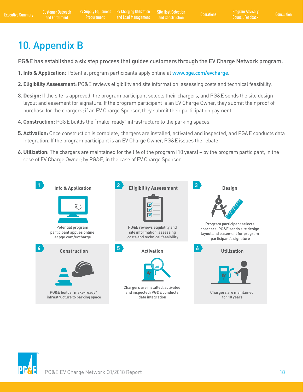### <span id="page-19-0"></span>10. Appendix B

PG&E has established a six step process that guides customers through the EV Charge Network program.

- **1. Info & Application:** Potential program participants apply online at www.pge.com/evcharge.
- **2. Eligibility Assessment:** PG&E reviews eligibility and site information, assessing costs and technical feasibility.
- **3. Design:** If the site is approved, the program participant selects their chargers, and PG&E sends the site design layout and easement for signature. If the program participant is an EV Charge Owner, they submit their proof of purchase for the chargers; if an EV Charge Sponsor, they submit their participation payment.
- **4. Construction:** PG&E builds the "make-ready" infrastructure to the parking spaces.
- **5. Activation:** Once construction is complete, chargers are installed, activated and inspected, and PG&E conducts data integration. If the program participant is an EV Charge Owner, PG&E issues the rebate
- **6. Utilization:** The chargers are maintained for the life of the program (10 years) by the program participant, in the case of EV Charge Owner; by PG&E, in the case of EV Charge Sponsor.